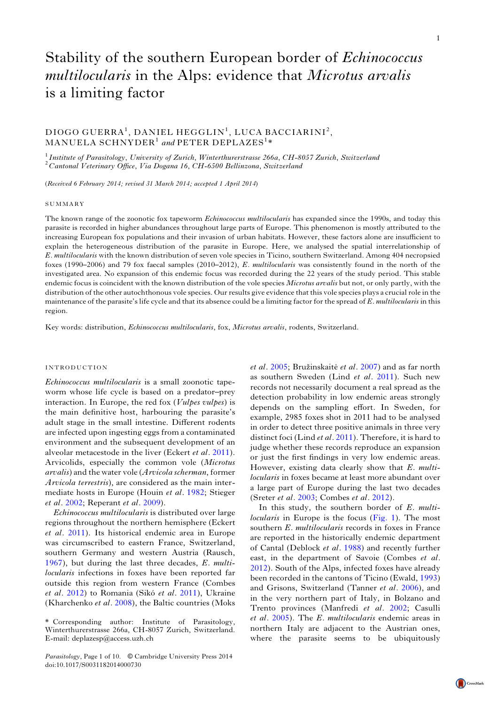# Stability of the southern European border of *Echinococcus* multilocularis in the Alps: evidence that Microtus arvalis is a limiting factor

# DIOGO GUERRA<sup>1</sup>, DANIEL HEGGLIN<sup>1</sup>, LUCA BACCIARINI<sup>2</sup>,  $MANUELA$   $SCHNYDER<sup>1</sup>$  and  $PETER$   $DEPLAZES<sup>1</sup>$

<sup>1</sup> Institute of Parasitology, University of Zurich, Winterthurerstrasse 266a, CH-8057 Zurich, Switzerland <sup>2</sup> Cantonal Veterinary Office, Via Dogana 16, CH-6500 Bellinzona, Switzerland

(Received 6 February 2014; revised 31 March 2014; accepted 1 April 2014)

#### SUMMARY

The known range of the zoonotic fox tapeworm *Echinococcus multilocularis* has expanded since the 1990s, and today this parasite is recorded in higher abundances throughout large parts of Europe. This phenomenon is mostly attributed to the increasing European fox populations and their invasion of urban habitats. However, these factors alone are insufficient to explain the heterogeneous distribution of the parasite in Europe. Here, we analysed the spatial interrelationship of E. multilocularis with the known distribution of seven vole species in Ticino, southern Switzerland. Among 404 necropsied foxes (1990–2006) and 79 fox faecal samples (2010–2012), E. multilocularis was consistently found in the north of the investigated area. No expansion of this endemic focus was recorded during the 22 years of the study period. This stable endemic focus is coincident with the known distribution of the vole species *Microtus arvalis* but not, or only partly, with the distribution of the other autochthonous vole species. Our results give evidence that this vole species plays a crucial role in the maintenance of the parasite's life cycle and that its absence could be a limiting factor for the spread of E. multilocularis in this region.

Key words: distribution, Echinococcus multilocularis, fox, Microtus arvalis, rodents, Switzerland.

# INTRODUCTION

Echinococcus multilocularis is a small zoonotic tapeworm whose life cycle is based on a predator–prey interaction. In Europe, the red fox (*Vulpes vulpes*) is the main definitive host, harbouring the parasite's adult stage in the small intestine. Different rodents are infected upon ingesting eggs from a contaminated environment and the subsequent development of an alveolar metacestode in the liver (Eckert et al. [2011\)](#page-8-0). Arvicolids, especially the common vole (Microtus arvalis) and the water vole (Arvicola scherman, former Arvicola terrestris), are considered as the main intermediate hosts in Europe (Houin et al. [1982](#page-8-0); Stieger et al. [2002;](#page-8-0) Reperant et al. [2009\)](#page-8-0).

Echinococcus multilocularis is distributed over large regions throughout the northern hemisphere (Eckert et al. [2011\)](#page-8-0). Its historical endemic area in Europe was circumscribed to eastern France, Switzerland, southern Germany and western Austria (Rausch,  $1967$ ), but during the last three decades, E. multilocularis infections in foxes have been reported far outside this region from western France (Combes et al. [2012](#page-7-0)) to Romania (Sikó et al. [2011\)](#page-8-0), Ukraine (Kharchenko et al. [2008\)](#page-8-0), the Baltic countries (Moks

Parasitology, Page 1 of 10. *©* Cambridge University Press 2014 doi:10.1017/S0031182014000730

et al. [2005;](#page-8-0) Bružinskaitė et al. [2007](#page-7-0)) and as far north as southern Sweden (Lind et al. [2011](#page-8-0)). Such new records not necessarily document a real spread as the detection probability in low endemic areas strongly depends on the sampling effort. In Sweden, for example, 2985 foxes shot in 2011 had to be analysed in order to detect three positive animals in three very distinct foci (Lind et al. [2011\)](#page-8-0). Therefore, it is hard to judge whether these records reproduce an expansion or just the first findings in very low endemic areas. However, existing data clearly show that E. multilocularis in foxes became at least more abundant over a large part of Europe during the last two decades (Sreter et al. [2003](#page-8-0); Combes et al. [2012](#page-7-0)).

In this study, the southern border of  $E$ . multi-locularis in Europe is the focus [\(Fig. 1](#page-1-0)). The most southern E. multilocularis records in foxes in France are reported in the historically endemic department of Cantal (Deblock et al. [1988\)](#page-7-0) and recently further east, in the department of Savoie (Combes et al. [2012\)](#page-7-0). South of the Alps, infected foxes have already been recorded in the cantons of Ticino (Ewald, [1993\)](#page-8-0) and Grisons, Switzerland (Tanner et al. [2006](#page-9-0)), and in the very northern part of Italy, in Bolzano and Trento provinces (Manfredi et al. [2002](#page-8-0); Casulli et al. [2005\)](#page-7-0). The E. multilocularis endemic areas in northern Italy are adjacent to the Austrian ones, where the parasite seems to be ubiquitously

<sup>\*</sup> Corresponding author: Institute of Parasitology, Winterthurerstrasse 266a, CH-8057 Zurich, Switzerland. E-mail: deplazesp@access.uzh.ch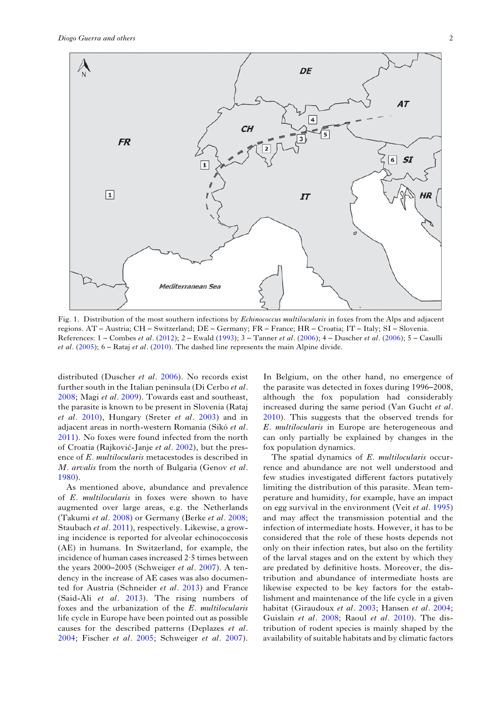<span id="page-1-0"></span>

Fig. 1. Distribution of the most southern infections by *Echinococcus multilocularis* in foxes from the Alps and adjacent regions. AT – Austria; CH – Switzerland; DE – Germany; FR – France; HR – Croatia; IT – Italy; SI – Slovenia. References: 1 – Combes et al. ([2012](#page-7-0)); 2 – Ewald [\(1993\)](#page-8-0); 3 – Tanner et al. [\(2006](#page-9-0)); 4 – Duscher et al. ([2006\)](#page-7-0); 5 – Casulli *et al.*  $(2005)$  $(2005)$ ;  $6 - \text{Rataj } et al. (2010)$  $6 - \text{Rataj } et al. (2010)$  $6 - \text{Rataj } et al. (2010)$ . The dashed line represents the main Alpine divide.

distributed (Duscher et al. [2006\)](#page-7-0). No records exist further south in the Italian peninsula (Di Cerbo et al. [2008](#page-7-0); Magi et al. [2009\)](#page-8-0). Towards east and southeast, the parasite is known to be present in Slovenia (Rataj et al. [2010\)](#page-8-0), Hungary (Sreter et al. [2003](#page-8-0)) and in adjacent areas in north-western Romania (Sikó et al. [2011](#page-8-0)). No foxes were found infected from the north of Croatia (Rajković-Janje et al. [2002\)](#page-8-0), but the presence of E. multilocularis metacestodes is described in M. arvalis from the north of Bulgaria (Genov et al. [1980](#page-8-0)).

As mentioned above, abundance and prevalence of E. multilocularis in foxes were shown to have augmented over large areas, e.g. the Netherlands (Takumi et al. [2008](#page-8-0)) or Germany (Berke et al. [2008](#page-7-0); Staubach et al. [2011](#page-8-0)), respectively. Likewise, a growing incidence is reported for alveolar echinococcosis (AE) in humans. In Switzerland, for example, the incidence of human cases increased 2·5 times between the years  $2000-2005$  (Schweiger *et al.* [2007](#page-8-0)). A tendency in the increase of AE cases was also documented for Austria (Schneider et al. [2013\)](#page-8-0) and France (Said-Ali et al. [2013\)](#page-8-0). The rising numbers of foxes and the urbanization of the E. multilocularis life cycle in Europe have been pointed out as possible causes for the described patterns (Deplazes et al. [2004](#page-7-0); Fischer et al. [2005;](#page-8-0) Schweiger et al. [2007\)](#page-8-0).

In Belgium, on the other hand, no emergence of the parasite was detected in foxes during 1996–2008, although the fox population had considerably increased during the same period (Van Gucht et al. [2010](#page-9-0)). This suggests that the observed trends for E. multilocularis in Europe are heterogeneous and can only partially be explained by changes in the fox population dynamics.

The spatial dynamics of E. multilocularis occurrence and abundance are not well understood and few studies investigated different factors putatively limiting the distribution of this parasite. Mean temperature and humidity, for example, have an impact on egg survival in the environment (Veit et al. [1995\)](#page-9-0) and may affect the transmission potential and the infection of intermediate hosts. However, it has to be considered that the role of these hosts depends not only on their infection rates, but also on the fertility of the larval stages and on the extent by which they are predated by definitive hosts. Moreover, the distribution and abundance of intermediate hosts are likewise expected to be key factors for the establishment and maintenance of the life cycle in a given habitat (Giraudoux et al. [2003](#page-8-0); Hansen et al. [2004](#page-8-0); Guislain et al. [2008;](#page-8-0) Raoul et al. [2010](#page-8-0)). The distribution of rodent species is mainly shaped by the availability of suitable habitats and by climatic factors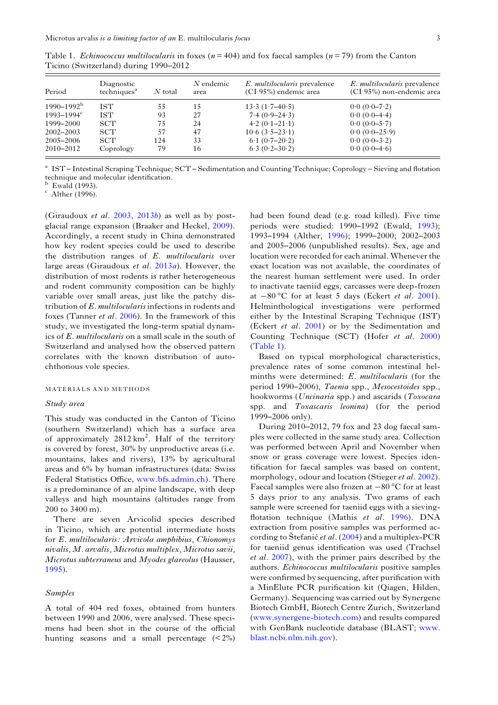| Period                     | Diagnostic<br>techniques <sup>a</sup> | $N$ total | $N$ endemic<br>area | E. <i>multilocularis</i> prevalence<br>(CI 95%) endemic area | E. <i>multilocularis</i> prevalence<br>(CI 95%) non-endemic area |
|----------------------------|---------------------------------------|-----------|---------------------|--------------------------------------------------------------|------------------------------------------------------------------|
| $1990 - 1992^b$            | <b>IST</b>                            | 55        | 15                  | $13.3(1.7-40.5)$                                             | $0.0 (0.0 - 7.2)$                                                |
| $1993 - 1994$ <sup>c</sup> | <b>IST</b>                            | 93        | 27                  | $7.4(0.9-24.3)$                                              | $0.0 (0.0 - 4.4)$                                                |
| 1999–2000                  | <b>SCT</b>                            | 75        | 24                  | $4.2(0.1-21.1)$                                              | $0.0 (0.0 - 5.7)$                                                |
| $2002 - 2003$              | SCT.                                  | 57        | 47                  | $10.6(3.5-23.1)$                                             | $0.0 (0.0 - 25.9)$                                               |
| 2005-2006                  | SCT.                                  | 124       | 33                  | $6.1 (0.7 - 20.2)$                                           | $0.0 (0.0 - 3.2)$                                                |
| 2010-2012                  | Coprology                             | 79        | 16                  | $6.3(0.2 - 30.2)$                                            | $0.0 (0.0 - 4.6)$                                                |

<span id="page-2-0"></span>Table 1. Echinococcus multilocularis in foxes ( $n = 404$ ) and fox faecal samples ( $n = 79$ ) from the Canton Ticino (Switzerland) during 1990–2012

<sup>a</sup> IST – Intestinal Scraping Technique; SCT – Sedimentation and Counting Technique; Coprology – Sieving and flotation technique and molecular identification.<br><sup>b</sup> Ewald (1993).<br><sup>c</sup> Alther (1996).

(Giraudoux *et al.* [2003,](#page-8-0) [2013](#page-8-0)*b*) as well as by postglacial range expansion (Braaker and Heckel, [2009\)](#page-7-0). Accordingly, a recent study in China demonstrated how key rodent species could be used to describe the distribution ranges of E. multilocularis over large areas (Giraudoux *et al.* [2013](#page-8-0)*a*). However, the distribution of most rodents is rather heterogeneous and rodent community composition can be highly variable over small areas, just like the patchy distribution of E. multilocularis infections in rodents and foxes (Tanner et al. [2006\)](#page-9-0). In the framework of this study, we investigated the long-term spatial dynamics of E. multilocularis on a small scale in the south of Switzerland and analysed how the observed pattern correlates with the known distribution of autochthonous vole species.

## MATERIALS AND METHODS

## Study area

This study was conducted in the Canton of Ticino (southern Switzerland) which has a surface area of approximately  $2812 \text{ km}^2$ . Half of the territory is covered by forest, 30% by unproductive areas (i.e. mountains, lakes and rivers), 13% by agricultural areas and 6% by human infrastructures (data: Swiss Federal Statistics Office, [www.bfs.admin.ch](http://www.bfs.admin.ch)). There is a predominance of an alpine landscape, with deep valleys and high mountains (altitudes range from 200 to 3400 m).

There are seven Arvicolid species described in Ticino, which are potential intermediate hosts for E. multilocularis: Arvicola amphibius, Chionomys nivalis, M. arvalis, Microtus multiplex, Microtus savii, Microtus subterraneus and Myodes glareolus (Hausser, [1995\)](#page-8-0).

#### Samples

A total of 404 red foxes, obtained from hunters between 1990 and 2006, were analysed. These specimens had been shot in the course of the official hunting seasons and a small percentage  $(< 2\%)$  had been found dead (e.g. road killed). Five time periods were studied: 1990–1992 (Ewald, [1993\)](#page-8-0); 1993–1994 (Alther, [1996](#page-7-0)); 1999–2000; 2002–2003 and 2005–2006 (unpublished results). Sex, age and location were recorded for each animal. Whenever the exact location was not available, the coordinates of the nearest human settlement were used. In order to inactivate taeniid eggs, carcasses were deep-frozen at  $-80$  °C for at least 5 days (Eckert *et al.* [2001\)](#page-8-0). Helminthological investigations were performed either by the Intestinal Scraping Technique (IST) (Eckert et al. [2001\)](#page-8-0) or by the Sedimentation and Counting Technique (SCT) (Hofer et al. [2000\)](#page-8-0) (Table 1).

Based on typical morphological characteristics, prevalence rates of some common intestinal helminths were determined: E. multilocularis (for the period 1990–2006), Taenia spp., Mesocestoides spp., hookworms (Uncinaria spp.) and ascarids (Toxocara spp. and Toxascaris leonina) (for the period 1999–2006 only).

During 2010–2012, 79 fox and 23 dog faecal samples were collected in the same study area. Collection was performed between April and November when snow or grass coverage were lowest. Species identification for faecal samples was based on content, morphology, odour and location (Stieger *et al.* [2002\)](#page-8-0). Faecal samples were also frozen at −80 °C for at least 5 days prior to any analysis. Two grams of each sample were screened for taeniid eggs with a sieving-flotation technique (Mathis et al. [1996\)](#page-8-0). DNA extraction from positive samples was performed according to Štefanić et al. [\(2004](#page-8-0)) and a multiplex-PCR for taeniid genus identification was used (Trachsel et al. [2007](#page-9-0)), with the primer pairs described by the authors. Echinococcus multilocularis positive samples were confirmed by sequencing, after purification with a MinElute PCR purification kit (Qiagen, Hilden, Germany). Sequencing was carried out by Synergene Biotech GmbH, Biotech Centre Zurich, Switzerland [\(www.synergene-biotech.com](http://www.synergene-biotech.com)) and results compared with GenBank nucleotide database (BLAST; [www.](http://www.blast.ncbi.nlm.nih.gov) [blast.ncbi.nlm.nih.gov](http://www.blast.ncbi.nlm.nih.gov)).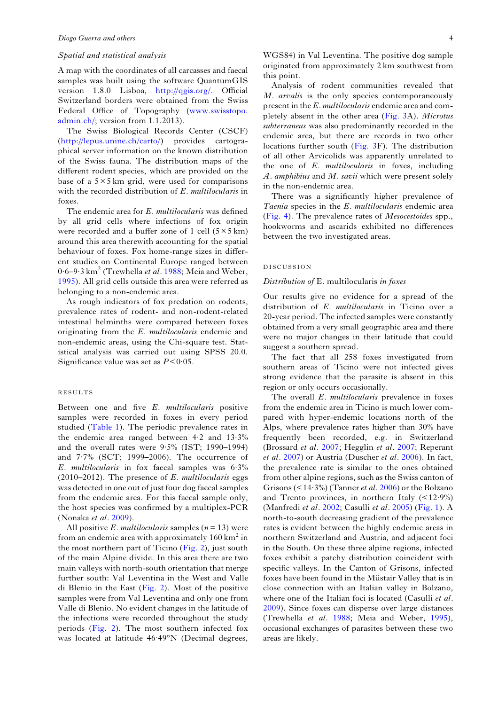# Spatial and statistical analysis

A map with the coordinates of all carcasses and faecal samples was built using the software QuantumGIS version 1.8.0 Lisboa, [http://qgis.org/.](http://qgis.org/) Official Switzerland borders were obtained from the Swiss Federal Office of Topography [\(www.swisstopo.](http://www.swisstopo.admin.ch/) [admin.ch/](http://www.swisstopo.admin.ch/); version from 1.1.2013).

The Swiss Biological Records Center (CSCF) ([http://lepus.unine.ch/carto/\)](http://lepus.unine.ch/carto/) provides cartographical server information on the known distribution of the Swiss fauna. The distribution maps of the different rodent species, which are provided on the base of a  $5 \times 5$  km grid, were used for comparisons with the recorded distribution of E. multilocularis in foxes.

The endemic area for E. multilocularis was defined by all grid cells where infections of fox origin were recorded and a buffer zone of 1 cell  $(5 \times 5 \text{ km})$ around this area therewith accounting for the spatial behaviour of foxes. Fox home-range sizes in different studies on Continental Europe ranged between  $0.6-9.3 \text{ km}^2$  (Trewhella *et al.* [1988;](#page-9-0) Meia and Weber, [1995](#page-8-0)). All grid cells outside this area were referred as belonging to a non-endemic area.

As rough indicators of fox predation on rodents, prevalence rates of rodent- and non-rodent-related intestinal helminths were compared between foxes originating from the E. multilocularis endemic and non-endemic areas, using the Chi-square test. Statistical analysis was carried out using SPSS 20.0. Significance value was set as  $P < 0.05$ .

# RESULTS

Between one and five E. multilocularis positive samples were recorded in foxes in every period studied [\(Table 1\)](#page-2-0). The periodic prevalence rates in the endemic area ranged between 4·2 and 13·3% and the overall rates were 9·5% (IST; 1990–1994) and 7·7% (SCT; 1999–2006). The occurrence of E. multilocularis in fox faecal samples was 6·3% (2010–2012). The presence of  $E$ . multilocularis eggs was detected in one out of just four dog faecal samples from the endemic area. For this faecal sample only, the host species was confirmed by a multiplex-PCR (Nonaka et al. [2009](#page-8-0)).

All positive E. multilocularis samples  $(n = 13)$  were from an endemic area with approximately  $160 \text{ km}^2$  in the most northern part of Ticino [\(Fig. 2](#page-4-0)), just south of the main Alpine divide. In this area there are two main valleys with north-south orientation that merge further south: Val Leventina in the West and Valle di Blenio in the East [\(Fig. 2](#page-4-0)). Most of the positive samples were from Val Leventina and only one from Valle di Blenio. No evident changes in the latitude of the infections were recorded throughout the study periods ([Fig. 2](#page-4-0)). The most southern infected fox was located at latitude 46·49°N (Decimal degrees,

WGS84) in Val Leventina. The positive dog sample originated from approximately 2 km southwest from this point.

Analysis of rodent communities revealed that M. arvalis is the only species contemporaneously present in the E. multilocularis endemic area and completely absent in the other area [\(Fig. 3](#page-5-0)A). Microtus subterraneus was also predominantly recorded in the endemic area, but there are records in two other locations further south [\(Fig. 3](#page-5-0)F). The distribution of all other Arvicolids was apparently unrelated to the one of  $E$ . *multilocularis* in foxes, including  $A.$  amphibius and  $M.$  savii which were present solely in the non-endemic area.

There was a significantly higher prevalence of Taenia species in the E. multilocularis endemic area ([Fig. 4](#page-5-0)). The prevalence rates of Mesocestoides spp., hookworms and ascarids exhibited no differences between the two investigated areas.

#### DISCUSSION

# Distribution of E. multilocularis in foxes

Our results give no evidence for a spread of the distribution of E. multilocularis in Ticino over a 20-year period. The infected samples were constantly obtained from a very small geographic area and there were no major changes in their latitude that could suggest a southern spread.

The fact that all 258 foxes investigated from southern areas of Ticino were not infected gives strong evidence that the parasite is absent in this region or only occurs occasionally.

The overall E. multilocularis prevalence in foxes from the endemic area in Ticino is much lower compared with hyper-endemic locations north of the Alps, where prevalence rates higher than 30% have frequently been recorded, e.g. in Switzerland (Brossard et al. [2007](#page-7-0); Hegglin et al. [2007;](#page-8-0) Reperant et al. [2007](#page-8-0)) or Austria (Duscher et al. [2006](#page-7-0)). In fact, the prevalence rate is similar to the ones obtained from other alpine regions, such as the Swiss canton of Grisons ( $\leq$  14·3%) (Tanner *et al.* [2006](#page-9-0)) or the Bolzano and Trento provinces, in northern Italy  $($  <math>12.9\%) (Manfredi et al. [2002;](#page-8-0) Casulli et al. [2005](#page-7-0)) ([Fig. 1\)](#page-1-0). A north-to-south decreasing gradient of the prevalence rates is evident between the highly endemic areas in northern Switzerland and Austria, and adjacent foci in the South. On these three alpine regions, infected foxes exhibit a patchy distribution coincident with specific valleys. In the Canton of Grisons, infected foxes have been found in the Müstair Valley that is in close connection with an Italian valley in Bolzano, where one of the Italian foci is located (Casulli et al. [2009](#page-7-0)). Since foxes can disperse over large distances (Trewhella et al. [1988](#page-9-0); Meia and Weber, [1995](#page-8-0)), occasional exchanges of parasites between these two areas are likely.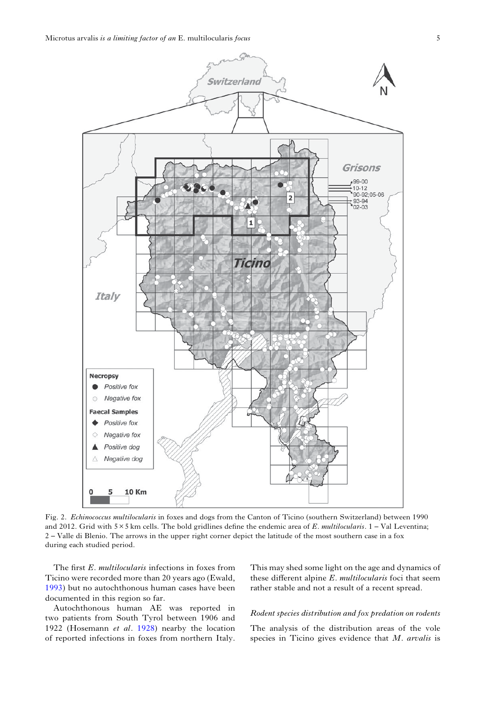

<span id="page-4-0"></span>

Fig. 2. Echinococcus multilocularis in foxes and dogs from the Canton of Ticino (southern Switzerland) between 1990 and 2012. Grid with  $5\times 5$  km cells. The bold gridlines define the endemic area of E. multilocularis. 1 – Val Leventina; 2 – Valle di Blenio. The arrows in the upper right corner depict the latitude of the most southern case in a fox during each studied period.

The first E. multilocularis infections in foxes from Ticino were recorded more than 20 years ago (Ewald, [1993\)](#page-8-0) but no autochthonous human cases have been documented in this region so far.

Autochthonous human AE was reported in two patients from South Tyrol between 1906 and 1922 (Hosemann et al. [1928\)](#page-8-0) nearby the location of reported infections in foxes from northern Italy. This may shed some light on the age and dynamics of these different alpine E. multilocularis foci that seem rather stable and not a result of a recent spread.

# Rodent species distribution and fox predation on rodents

The analysis of the distribution areas of the vole species in Ticino gives evidence that  $M$ . arvalis is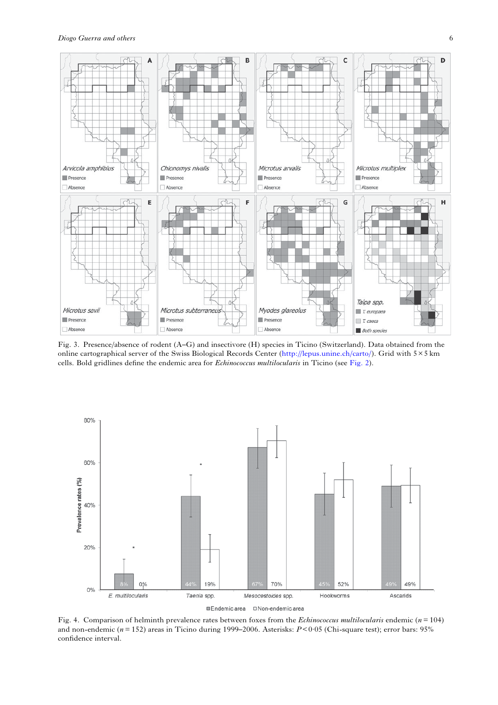<span id="page-5-0"></span>Diogo Guerra and others 6



Fig. 3. Presence/absence of rodent (A–G) and insectivore (H) species in Ticino (Switzerland). Data obtained from the online cartographical server of the Swiss Biological Records Center ([http://lepus.unine.ch/carto/\)](http://lepus.unine.ch/carto/). Grid with 5× 5 km cells. Bold gridlines define the endemic area for *Echinococcus multilocularis* in Ticino (see Fig. 2).



Fig. 4. Comparison of helminth prevalence rates between foxes from the *Echinococcus multilocularis* endemic  $(n = 104)$ and non-endemic ( $n = 152$ ) areas in Ticino during 1999–2006. Asterisks:  $P < 0.05$  (Chi-square test); error bars: 95% confidence interval.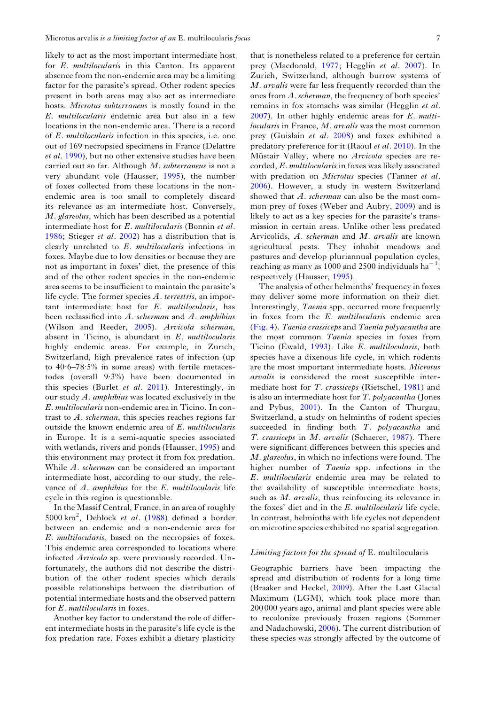likely to act as the most important intermediate host for *E. multilocularis* in this Canton. Its apparent absence from the non-endemic area may be a limiting factor for the parasite's spread. Other rodent species present in both areas may also act as intermediate hosts. Microtus subterraneus is mostly found in the E. multilocularis endemic area but also in a few locations in the non-endemic area. There is a record of E. multilocularis infection in this species, i.e. one out of 169 necropsied specimens in France (Delattre et al. [1990](#page-7-0)), but no other extensive studies have been carried out so far. Although M. subterraneus is not a very abundant vole (Hausser, [1995\)](#page-8-0), the number of foxes collected from these locations in the nonendemic area is too small to completely discard its relevance as an intermediate host. Conversely, M. glareolus, which has been described as a potential intermediate host for E. multilocularis (Bonnin et al. [1986;](#page-7-0) Stieger et al. [2002\)](#page-8-0) has a distribution that is clearly unrelated to E. multilocularis infections in foxes. Maybe due to low densities or because they are not as important in foxes' diet, the presence of this and of the other rodent species in the non-endemic area seems to be insufficient to maintain the parasite's life cycle. The former species A. terrestris, an important intermediate host for E. multilocularis, has been reclassified into A. scherman and A. amphibius (Wilson and Reeder, [2005](#page-9-0)). Arvicola scherman, absent in Ticino, is abundant in E. multilocularis highly endemic areas. For example, in Zurich, Switzerland, high prevalence rates of infection (up to 40·6–78·5% in some areas) with fertile metacestodes (overall 9·3%) have been documented in this species (Burlet et al. [2011\)](#page-7-0). Interestingly, in our study  $A$ . amphibius was located exclusively in the E. multilocularis non-endemic area in Ticino. In contrast to  $A$ . scherman, this species reaches regions far outside the known endemic area of E. multilocularis in Europe. It is a semi-aquatic species associated with wetlands, rivers and ponds (Hausser, [1995](#page-8-0)) and this environment may protect it from fox predation. While A. scherman can be considered an important intermediate host, according to our study, the relevance of  $A$ . amphibius for the  $E$ . multilocularis life cycle in this region is questionable.

In the Massif Central, France, in an area of roughly 5000 km<sup>2</sup>, Deblock et al. [\(1988\)](#page-7-0) defined a border between an endemic and a non-endemic area for E. multilocularis, based on the necropsies of foxes. This endemic area corresponded to locations where infected Arvicola sp. were previously recorded. Unfortunately, the authors did not describe the distribution of the other rodent species which derails possible relationships between the distribution of potential intermediate hosts and the observed pattern for E. multilocularis in foxes.

Another key factor to understand the role of different intermediate hosts in the parasite's life cycle is the fox predation rate. Foxes exhibit a dietary plasticity

that is nonetheless related to a preference for certain prey (Macdonald, [1977](#page-8-0); Hegglin et al. [2007](#page-8-0)). In Zurich, Switzerland, although burrow systems of M. arvalis were far less frequently recorded than the ones from A. scherman, the frequency of both species' remains in fox stomachs was similar (Hegglin et al.  $2007$ ). In other highly endemic areas for  $E$ . multilocularis in France, M. arvalis was the most common prey (Guislain et al. [2008\)](#page-8-0) and foxes exhibited a predatory preference for it (Raoul et al. [2010\)](#page-8-0). In the Müstair Valley, where no *Arvicola* species are recorded, E. multilocularis in foxes was likely associated with predation on *Microtus* species (Tanner et al. [2006\)](#page-9-0). However, a study in western Switzerland showed that  $A$ . scherman can also be the most common prey of foxes (Weber and Aubry, [2009\)](#page-9-0) and is likely to act as a key species for the parasite's transmission in certain areas. Unlike other less predated Arvicolids, A. scherman and M. arvalis are known agricultural pests. They inhabit meadows and pastures and develop pluriannual population cycles, reaching as many as 1000 and 2500 individuals  $ha^{-1}$ , respectively (Hausser, [1995](#page-8-0)).

The analysis of other helminths' frequency in foxes may deliver some more information on their diet. Interestingly, Taenia spp. occurred more frequently in foxes from the E. multilocularis endemic area [\(Fig. 4\)](#page-5-0). Taenia crassiceps and Taenia polyacantha are the most common Taenia species in foxes from Ticino (Ewald, [1993\)](#page-8-0). Like E. multilocularis, both species have a dixenous life cycle, in which rodents are the most important intermediate hosts. Microtus arvalis is considered the most susceptible intermediate host for T. crassiceps (Rietschel, [1981\)](#page-8-0) and is also an intermediate host for  $T$ . polyacantha (Jones and Pybus, [2001](#page-8-0)). In the Canton of Thurgau, Switzerland, a study on helminths of rodent species succeeded in finding both T. polyacantha and T. crassiceps in M. arvalis (Schaerer, [1987](#page-8-0)). There were significant differences between this species and M. glareolus, in which no infections were found. The higher number of Taenia spp. infections in the E. multilocularis endemic area may be related to the availability of susceptible intermediate hosts, such as M. arvalis, thus reinforcing its relevance in the foxes' diet and in the E. multilocularis life cycle. In contrast, helminths with life cycles not dependent on microtine species exhibited no spatial segregation.

# Limiting factors for the spread of E. multilocularis

Geographic barriers have been impacting the spread and distribution of rodents for a long time (Braaker and Heckel, [2009](#page-7-0)). After the Last Glacial Maximum (LGM), which took place more than 200 000 years ago, animal and plant species were able to recolonize previously frozen regions (Sommer and Nadachowski, [2006](#page-8-0)). The current distribution of these species was strongly affected by the outcome of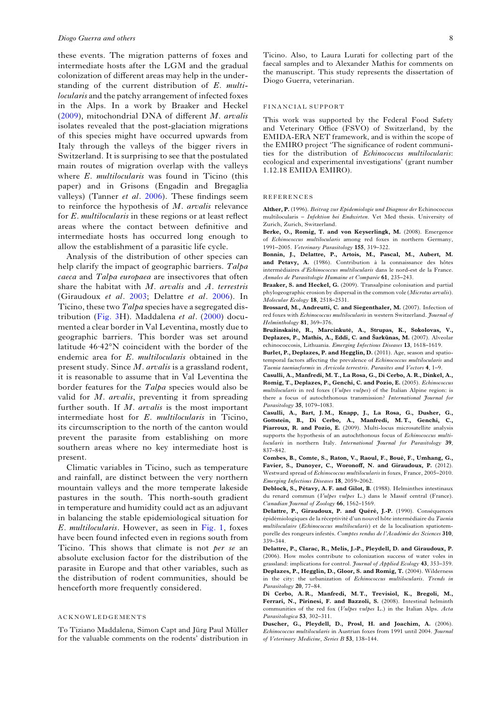<span id="page-7-0"></span>these events. The migration patterns of foxes and intermediate hosts after the LGM and the gradual colonization of different areas may help in the understanding of the current distribution of E. multilocularis and the patchy arrangement of infected foxes in the Alps. In a work by Braaker and Heckel (2009), mitochondrial DNA of different M. arvalis isolates revealed that the post-glaciation migrations of this species might have occurred upwards from Italy through the valleys of the bigger rivers in Switzerland. It is surprising to see that the postulated main routes of migration overlap with the valleys where E. multilocularis was found in Ticino (this paper) and in Grisons (Engadin and Bregaglia valleys) (Tanner et al. [2006\)](#page-9-0). These findings seem to reinforce the hypothesis of  $M$ . arvalis relevance for E. multilocularis in these regions or at least reflect areas where the contact between definitive and intermediate hosts has occurred long enough to allow the establishment of a parasitic life cycle.

Analysis of the distribution of other species can help clarify the impact of geographic barriers. Talpa caeca and Talpa europaea are insectivores that often share the habitat with  $M$ . arvalis and  $A$ . terrestris (Giraudoux et al. [2003](#page-8-0); Delattre et al. 2006). In Ticino, these two Talpa species have a segregated dis-tribution ([Fig. 3H](#page-5-0)). Maddalena et al.  $(2000)$  documented a clear border in Val Leventina, mostly due to geographic barriers. This border was set around latitude 46·42°N coincident with the border of the endemic area for E. multilocularis obtained in the present study. Since M. arvalis is a grassland rodent, it is reasonable to assume that in Val Leventina the border features for the Talpa species would also be valid for *M. arvalis*, preventing it from spreading further south. If  $M$ . arvalis is the most important intermediate host for E. multilocularis in Ticino, its circumscription to the north of the canton would prevent the parasite from establishing on more southern areas where no key intermediate host is present.

Climatic variables in Ticino, such as temperature and rainfall, are distinct between the very northern mountain valleys and the more temperate lakeside pastures in the south. This north-south gradient in temperature and humidity could act as an adjuvant in balancing the stable epidemiological situation for E. multilocularis. However, as seen in [Fig. 1](#page-1-0), foxes have been found infected even in regions south from Ticino. This shows that climate is not per se an absolute exclusion factor for the distribution of the parasite in Europe and that other variables, such as the distribution of rodent communities, should be henceforth more frequently considered.

#### ACKNOWLEDGEMENTS

To Tiziano Maddalena, Simon Capt and Jürg Paul Müller for the valuable comments on the rodents' distribution in Ticino. Also, to Laura Lurati for collecting part of the faecal samples and to Alexander Mathis for comments on the manuscript. This study represents the dissertation of Diogo Guerra, veterinarian.

#### FINANCIAL SUPPORT

This work was supported by the Federal Food Safety and Veterinary Office (FSVO) of Switzerland, by the EMIDA-ERA NET framework, and is within the scope of the EMIRO project 'The significance of rodent communities for the distribution of Echinococcus multilocularis: ecological and experimental investigations' (grant number 1.12.18 EMIDA EMIRO).

#### REFERENCES

Alther, P. (1996). Beitrag zur Epidemiologie und Diagnose der Echinococcus multilocularis – Infektion bei Endwirten. Vet Med thesis. University of Zurich, Zurich, Switzerland.

Berke, O., Romig, T. and von Keyserlingk, M. (2008). Emergence of Echinococcus multilocularis among red foxes in northern Germany, 1991–2005. Veterinary Parasitology 155, 319–322.

Bonnin, J., Delattre, P., Artois, M., Pascal, M., Aubert, M. and Petavy, A. (1986). Contribution à la connaissance des hôtes intermédiaires d'Echinococcus multilocularis dans le nord-est de la France. Annales de Parasitologie Humaine et Comparée 61, 235–243.

Braaker, S. and Heckel, G. (2009). Transalpine colonisation and partial phylogeographic erosion by dispersal in the common vole (Microtus arvalis). Molecular Ecology 18, 2518–2531.

Brossard, M., Andreutti, C. and Siegenthaler, M. (2007). Infection of red foxes with Echinococcus multilocularis in western Switzerland. Journal of Helminthology 81, 369–376.

Bružinskaitė, R., Marcinkutė, A., Strupas, K., Sokolovas, V., Deplazes, P., Mathis, A., Eddi, C. and Šarkūnas, M. (2007). Alveolar echinococcosis, Lithuania. Emerging Infectious Diseases 13, 1618–1619.

Burlet, P., Deplazes, P. and Hegglin, D. (2011). Age, season and spatiotemporal factors affecting the prevalence of Echinococcus multilocularis and Taenia taeniaeformis in Arvicola terrestris. Parasites and Vectors 4, 1–9.

Casulli, A., Manfredi, M. T., La Rosa, G., Di Cerbo, A. R., Dinkel, A., Romig, T., Deplazes, P., Genchi, C. and Pozio, E. (2005). Echinococcus multilocularis in red foxes (Vulpes vulpes) of the Italian Alpine region: is there a focus of autochthonous transmission? International Journal for Parasitology 35, 1079–1083.

Casulli, A., Bart, J. M., Knapp, J., La Rosa, G., Dusher, G., Gottstein, B., Di Cerbo, A., Manfredi, M. T., Genchi, C., Piarroux, R. and Pozio, E. (2009). Multi-locus microsatellite analysis supports the hypothesis of an autochthonous focus of Echinococcus multilocularis in northern Italy. International Journal for Parasitology 39, 837–842.

Combes, B., Comte, S., Raton, V., Raoul, F., Boué, F., Umhang, G., Favier, S., Dunoyer, C., Woronoff, N. and Giraudoux, P. (2012). Westward spread of Echinococcus multilocularis in foxes, France, 2005–2010. Emerging Infectious Diseases 18, 2059–2062.

Deblock, S., Pétavy, A. F. and Gilot, B. (1988). Helminthes intestinaux du renard commun (Vulpes vulpes L.) dans le Massif central (France). Canadian Journal of Zoology 66, 1562–1569.

Delattre, P., Giraudoux, P. and Quéré, J.-P. (1990). Conséquences épidémiologiques de la réceptivité d'un nouvel hôte intermédiaire du Taenia multiloculaire (Echinococcus multilocularis) et de la localisation spatiotemporelle des rongeurs infestés. Comptes rendus de l'Académie des Sciences 310, 339–344.

Delattre, P., Clarac, R., Melis, J.-P., Pleydell, D. and Giraudoux, P. (2006). How moles contribute to colonization success of water voles in grassland: implications for control. Journal of Applied Ecology 43, 353–359. Deplazes, P., Hegglin, D., Gloor, S. and Romig, T. (2004). Wilderness in the city: the urbanization of Echinococcus multilocularis. Trends in Parasitology 20, 77–84.

Di Cerbo, A. R., Manfredi, M. T., Trevisiol, K., Bregoli, M., Ferrari, N., Pirinesi, F. and Bazzoli, S. (2008). Intestinal helminth communities of the red fox (Vulpes vulpes L.) in the Italian Alps. Acta Parasitologica 53, 302–311.

Duscher, G., Pleydell, D., Prosl, H. and Joachim, A. (2006). Echinococcus multilocularis in Austrian foxes from 1991 until 2004. Journal of Veterinary Medicine, Series B 53, 138–144.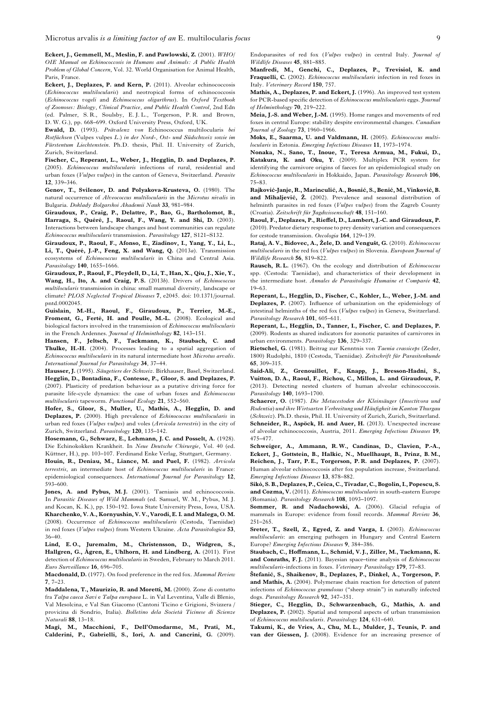<span id="page-8-0"></span>Eckert, J., Gemmell, M., Meslin, F. and Pawlowski, Z. (2001). WHO/ OIE Manual on Echinococcosis in Humans and Animals: A Public Health Problem of Global Concern, Vol. 32. World Organisation for Animal Health, Paris, France.

Eckert, J., Deplazes, P. and Kern, P. (2011). Alveolar echinococcosis (Echinococcus multilocularis) and neotropical forms of echinococcosis (Echinococcus vogeli and Echinococcus oligarthrus). In Oxford Textbook of Zoonoses: Biology, Clinical Practice, and Public Health Control, 2nd Edn (ed. Palmer, S. R., Soulsby, E. J. L., Torgerson, P. R. and Brown, D. W. G.), pp. 668–699. Oxford University Press, Oxford, UK.

Ewald, D. (1993). Prävalenz von Echinococcus multilocularis bei Rotfüchsen (Vulpes vulpes L.) in der Nord-, Ost- und Südschweiz sowie im Fürstentum Liechtenstein. Ph.D. thesis, Phil. II. University of Zurich, Zurich, Switzerland.

Fischer, C., Reperant, L., Weber, J., Hegglin, D. and Deplazes, P. (2005). Echinococcus multilocularis infections of rural, residential and urban foxes (Vulpes vulpes) in the canton of Geneva, Switzerland. Parasite 12, 339–346.

Genov, T., Svilenov, D. and Polyakova-Krusteva, O. (1980). The natural occurrence of Alveococcus multilocularis in the Microtus nivalis in Bulgaria. Doklady Bolgarskoi Akademii Nauk 33, 981–984.

Giraudoux, P., Craig, P., Delattre, P., Bao, G., Bartholomot, B., Harraga, S., Quéré, J., Raoul, F., Wang, Y. and Shi, D. (2003). Interactions between landscape changes and host communities can regulate Echinococcus multilocularis transmission. Parasitology 127, S121–S132.

Giraudoux, P., Raoul, F., Afonso, E., Ziadinov, I., Yang, Y., Li, L., Li, T., Quéré, J.-P., Feng, X. and Wang, Q. (2013a). Transmission ecosystems of Echinococcus multilocularis in China and Central Asia. Parasitology 140, 1655–1666.

Giraudoux, P., Raoul, F., Pleydell, D., Li, T., Han, X., Qiu, J., Xie, Y., Wang, H., Ito, A. and Craig, P.S. (2013b). Drivers of Echinococcus multilocularis transmission in china: small mammal diversity, landscape or climate? PLOS Neglected Tropical Diseases 7, e2045. doi: 10.1371/journal. pntd.0002045.

Guislain, M.-H., Raoul, F., Giraudoux, P., Terrier, M.-E., Froment, G., Ferté, H. and Poulle, M.-L. (2008). Ecological and biological factors involved in the transmission of Echinococcus multilocularis in the French Ardennes. Journal of Helminthology 82, 143-151.

Hansen, F., Jeltsch, F., Tackmann, K., Staubach, C. and Thulke, H.-H. (2004). Processes leading to a spatial aggregation of Echinococcus multilocularis in its natural intermediate host Microtus arvalis. International Journal for Parasitology 34, 37–44.

Hausser, J. (1995). Säugetiere der Schweiz. Birkhauser, Basel, Switzerland. Hegglin, D., Bontadina, F., Contesse, P., Gloor, S. and Deplazes, P. (2007). Plasticity of predation behaviour as a putative driving force for parasite life-cycle dynamics: the case of urban foxes and Echinococcus multilocularis tapeworm. Functional Ecology 21, 552–560.

Hofer, S., Gloor, S., Muller, U., Mathis, A., Hegglin, D. and Deplazes, P. (2000). High prevalence of Echinococcus multilocularis in urban red foxes (*Vulpes vulpes*) and voles (*Arvicola terrestris*) in the city of Zurich, Switzerland. Parasitology 120, 135–142.

Hosemann, G., Schwarz, E., Lehmann, J. C. and Posselt, A. (1928). Die Echinokokken Krankheit. In Neue Deutsche Chirurgie, Vol. 40 (ed.

Küttner, H.), pp. 103–107. Ferdinand Enke Verlag, Stuttgart, Germany. Houin, R., Deniau, M., Liance, M. and Puel, F. (1982). Arvicola terrestris, an intermediate host of Echinococcus multilocularis in France: epidemiological consequences. International Journal for Parasitology 12, 593–600.

Jones, A. and Pybus, M.J. (2001). Taeniasis and echinococcosis. In Parasitic Diseases of Wild Mammals (ed. Samuel, W. M., Pybus, M. J. and Kocan, K. K.), pp. 150–192. Iowa State University Press, Iowa, USA. Kharchenko, V. A., Kornyushin, V. V., Varodi, E. I. and Malega, O. M. (2008). Occurrence of Echinococcus multilocularis (Cestoda, Taeniidae) in red foxes (Vulpes vulpes) from Western Ukraine. Acta Parasitologica 53,  $36-40.$ 

Lind, E. O., Juremalm, M., Christensson, D., Widgren, S., Hallgren, G., Ågren, E., Uhlhorn, H. and Lindberg, A. (2011). First detection of Echinococcus multilocularis in Sweden, February to March 2011. Euro Surveillance 16, 696–705.

Macdonald, D. (1977). On food preference in the red fox. Mammal Review 7, 7–23.

Maddalena, T., Maurizio, R. and Moretti, M. (2000). Zone di contatto fra Talpa caeca Savi e Talpa europaea L. in Val Leventina, Valle di Blenio, Val Mesolcina, e Val San Giacomo (Cantoni Ticino e Grigioni, Svizzera / provicina di Sondrio, Italia). Bolletino dela Società Ticinese di Scienze Naturali 88, 13–18.

Magi, M., Macchioni, F., Dell*'*Omodarme, M., Prati, M., Calderini, P., Gabrielli, S., Iori, A. and Cancrini, G. (2009). Endoparasites of red fox (Vulpes vulpes) in central Italy. Journal of Wildlife Diseases 45, 881–885.

Manfredi, M., Genchi, C., Deplazes, P., Trevisiol, K. and Fraquelli, C. (2002). Echinococcus multilocularis infection in red foxes in Italy. Veterinary Record 150, 757.

Mathis, A., Deplazes, P. and Eckert, I. (1996). An improved test system for PCR-based specific detection of Echinococcus multilocularis eggs. Journal of Helminthology 70, 219–222.

Meia, J.-S. and Weber, J.-M. (1995). Home ranges and movements of red foxes in central Europe: stability despite environmental changes. Canadian Journal of Zoology 73, 1960–1966.

Moks, E., Saarma, U. and Valdmann, H. (2005). Echinococcus multilocularis in Estonia. Emerging Infectious Diseases 11, 1973–1974.

Nonaka, N., Sano, T., Inoue, T., Teresa Armua, M., Fukui, D., Katakura, K. and Oku, Y. (2009). Multiplex PCR system for identifying the carnivore origins of faeces for an epidemiological study on Echinococcus multilocularis in Hokkaido, Japan. Parasitology Research 106, 75–83.

Rajković-Janje, R., Marinculić, A., Bosnić, S., Benić, M., Vinković, B. and Mihaljević, Ž. (2002). Prevalence and seasonal distribution of helminth parasites in red foxes (Vulpes vulpes) from the Zagreb County (Croatia). Zeitschrift für Jagdwissenschaft 48, 151–160.

Raoul, F., Deplazes, P., Rieffel, D., Lambert, J.-C. and Giraudoux, P. (2010). Predator dietary response to prey density variation and consequences for cestode transmission. Oecologia 164, 129–139.

Rataj, A. V., Bidovec, A., Žele, D. and Vengušt, G. (2010). Echinococcus multilocularis in the red fox (Vulpes vulpes) in Slovenia. European Journal of Wildlife Research 56, 819–822.

Rausch, R.L. (1967). On the ecology and distribution of Echinococcus spp. (Cestoda: Taeniidae), and characteristics of their development in the intermediate host. Annales de Parasitologie Humaine et Comparée 42, 19–63.

Reperant, L., Hegglin, D., Fischer, C., Kohler, L., Weber, J.-M. and Deplazes, P. (2007). Influence of urbanization on the epidemiology of intestinal helminths of the red fox (*Vulpes vulpes*) in Geneva, Switzerland. Parasitology Research 101, 605–611.

Reperant, L., Hegglin, D., Tanner, I., Fischer, C. and Deplazes, P. (2009). Rodents as shared indicators for zoonotic parasites of carnivores in urban environments. Parasitology 136, 329–337.

Rietschel, G. (1981). Beitrag zur Kenntnis von Taenia crassiceps (Zeder, 1800) Rudolphi, 1810 (Cestoda, Taeniidae). Zeitschrift für Parasitenkunde 65, 309–315.

Said-Ali, Z., Grenouillet, F., Knapp, J., Bresson-Hadni, S., Vuitton, D. A., Raoul, F., Richou, C., Millon, L. and Giraudoux, P. (2013). Detecting nested clusters of human alveolar echinococcosis. Parasitology 140, 1693–1700.

Schaerer, O. (1987). Die Metacestoden der Kleinsäuger (Insectivora und Rodentia) und ihre Wirtsarten Verbreitung und Häufigkeit im Kanton Thurgau (Schweiz). Ph.D. thesis, Phil. II. University of Zurich, Zurich, Switzerland. Schneider, R., Aspöck, H. and Auer, H. (2013). Unexpected increase of alveolar echinococcosis, Austria, 2011. Emerging Infectious Diseases 19, 475–477.

Schweiger, A., Ammann, R. W., Candinas, D., Clavien, P.-A., Eckert, J., Gottstein, B., Halkic, N., Muellhaupt, B., Prinz, B. M., Reichen, J., Tarr, P. E., Torgerson, P. R. and Deplazes, P. (2007). Human alveolar echinococcosis after fox population increase, Switzerland. Emerging Infectious Diseases 13, 878–882.

Sikó, S. B., Deplazes, P., Ceica, C., Tivadar, C., Bogolin, I., Popescu, S. and Cozma, V. (2011). Echinococcus multilocularis in south-eastern Europe (Romania). Parasitology Research 108, 1093–1097.

Sommer, R. and Nadachowski, A. (2006). Glacial refugia of mammals in Europe: evidence from fossil records. Mammal Review 36, 251–265.

Sreter, T., Szell, Z., Egyed, Z. and Varga, I. (2003). Echinococcus multilocularis: an emerging pathogen in Hungary and Central Eastern Europe? Emerging Infectious Diseases 9, 384–386.

Staubach, C., Hoffmann, L., Schmid, V. J., Ziller, M., Tackmann, K. and Conraths, F. J. (2011). Bayesian space–time analysis of Echinococcus multilocularis-infections in foxes. Veterinary Parasitology 179, 77–83.

Štefanić, S., Shaikenov, B., Deplazes, P., Dinkel, A., Torgerson, P. and Mathis, A. (2004). Polymerase chain reaction for detection of patent infections of Echinococcus granulosus ("sheep strain") in naturally infected dogs. Parasitology Research 92, 347–351.

Stieger, C., Hegglin, D., Schwarzenbach, G., Mathis, A. and Deplazes, P. (2002). Spatial and temporal aspects of urban transmission of Echinococcus multilocularis. Parasitology 124, 631–640.

Takumi, K., de Vries, A., Chu, M. L., Mulder, J., Teunis, P. and van der Giessen, J. (2008). Evidence for an increasing presence of